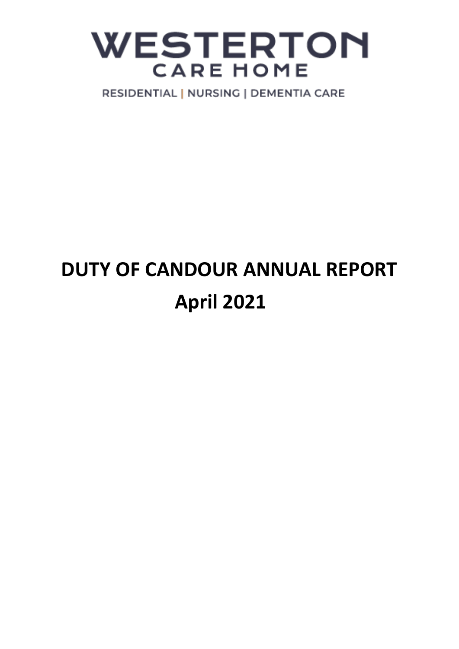## **WESTERTON CARE HOME**

RESIDENTIAL | NURSING | DEMENTIA CARE

## **DUTY OF CANDOUR ANNUAL REPORT April 2021**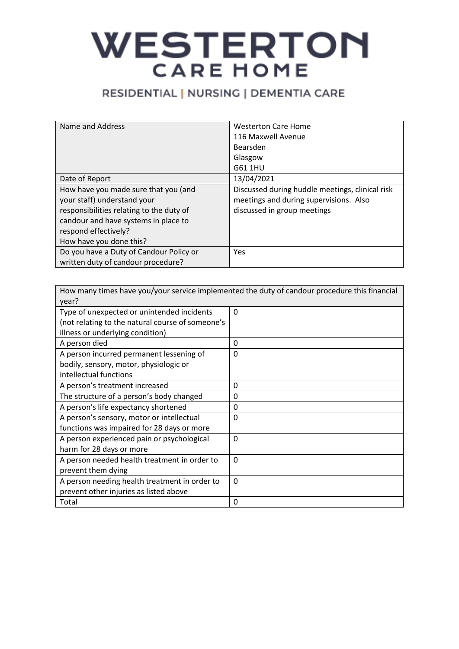# WESTERTON

### RESIDENTIAL | NURSING | DEMENTIA CARE

| Name and Address                         | <b>Westerton Care Home</b>                      |
|------------------------------------------|-------------------------------------------------|
|                                          | 116 Maxwell Avenue                              |
|                                          | <b>Bearsden</b>                                 |
|                                          | Glasgow                                         |
|                                          | G61 1HU                                         |
| Date of Report                           | 13/04/2021                                      |
| How have you made sure that you (and     | Discussed during huddle meetings, clinical risk |
| your staff) understand your              | meetings and during supervisions. Also          |
| responsibilities relating to the duty of | discussed in group meetings                     |
| candour and have systems in place to     |                                                 |
| respond effectively?                     |                                                 |
| How have you done this?                  |                                                 |
| Do you have a Duty of Candour Policy or  | Yes                                             |
| written duty of candour procedure?       |                                                 |

| How many times have you/your service implemented the duty of candour procedure this financial |          |  |
|-----------------------------------------------------------------------------------------------|----------|--|
| year?                                                                                         |          |  |
| Type of unexpected or unintended incidents                                                    | $\Omega$ |  |
| (not relating to the natural course of someone's                                              |          |  |
| illness or underlying condition)                                                              |          |  |
| A person died                                                                                 | 0        |  |
| A person incurred permanent lessening of                                                      | $\Omega$ |  |
| bodily, sensory, motor, physiologic or                                                        |          |  |
| intellectual functions                                                                        |          |  |
| A person's treatment increased                                                                | 0        |  |
| The structure of a person's body changed                                                      | 0        |  |
| A person's life expectancy shortened                                                          | 0        |  |
| A person's sensory, motor or intellectual                                                     | $\Omega$ |  |
| functions was impaired for 28 days or more                                                    |          |  |
| A person experienced pain or psychological                                                    | $\Omega$ |  |
| harm for 28 days or more                                                                      |          |  |
| A person needed health treatment in order to                                                  | $\Omega$ |  |
| prevent them dying                                                                            |          |  |
| A person needing health treatment in order to                                                 | $\Omega$ |  |
| prevent other injuries as listed above                                                        |          |  |
| Total                                                                                         | 0        |  |